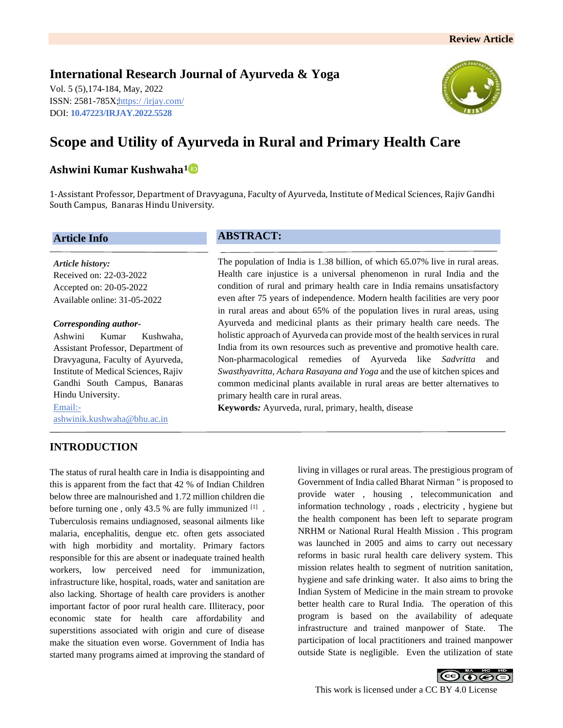## **International Research Journal of Ayurveda & Yoga**

Vol. 5 (5),174-184, May, 2022 ISSN: 2581-785X; https:/ [/irjay.com/](https://irjay.com/) DOI: **10.47223/IRJAY.2022.5528**



# **Scope and Utility of Ayurveda in Rural and Primary Health Care**

## **Ashwini Kumar Kushwaha<sup>1</sup>**

1-Assistant Professor, Department of Dravyaguna, Faculty of Ayurveda, Institute of Medical Sciences, Rajiv Gandhi South Campus, Banaras Hindu University.

#### **Article Info**

*Article history:* Received on: 22-03-2022 Accepted on: 20-05-2022 Available online: 31-05-2022

#### *Corresponding author-*

Ashwini Kumar Kushwaha, Assistant Professor, Department of Dravyaguna, Faculty of Ayurveda, Institute of Medical Sciences, Rajiv Gandhi South Campus, Banaras Hindu University. Email: ashwinik.kushwaha@bhu.ac.in

## **INTRODUCTION**

The status of rural health care in India is disappointing and this is apparent from the fact that 42 % of Indian Children below three are malnourished and 1.72 million children die before turning one, only 43.5 % are fully immunized  $[1]$ . Tuberculosis remains undiagnosed, seasonal ailments like malaria, encephalitis, dengue etc. often gets associated with high morbidity and mortality. Primary factors responsible for this are absent or inadequate trained health workers, low perceived need for immunization, infrastructure like, hospital, roads, water and sanitation are also lacking. Shortage of health care providers is another important factor of poor rural health care. Illiteracy, poor economic state for health care affordability and superstitions associated with origin and cure of disease make the situation even worse. Government of India has started many programs aimed at improving the standard of

## **ABSTRACT:**

The population of India is 1.38 billion, of which 65.07% live in rural areas. Health care injustice is a universal phenomenon in rural India and the condition of rural and primary health care in India remains unsatisfactory even after 75 years of independence. Modern health facilities are very poor in rural areas and about 65% of the population lives in rural areas, using Ayurveda and medicinal plants as their primary health care needs. The holistic approach of Ayurveda can provide most of the health services in rural India from its own resources such as preventive and promotive health care. Non-pharmacological remedies of Ayurveda like Sadvritta *Swasthyavritta, Achara Rasayana and Yoga* and the use of kitchen spices and common medicinal plants available in rural areas are better alternatives to primary health care in rural areas.

**Keywords***:* Ayurveda, rural, primary, health, disease

living in villages or rural areas. The prestigious program of Government of India called Bharat Nirman " is proposed to provide water , housing , telecommunication and information technology , roads , electricity , hygiene but the health component has been left to separate program NRHM or National Rural Health Mission . This program was launched in 2005 and aims to carry out necessary reforms in basic rural health care delivery system. This mission relates health to segment of nutrition sanitation, hygiene and safe drinking water. It also aims to bring the Indian System of Medicine in the main stream to provoke better health care to Rural India. The operation of this program is based on the availability of adequate infrastructure and trained manpower of State. The participation of local practitioners and trained manpower outside State is negligible. Even the utilization of state

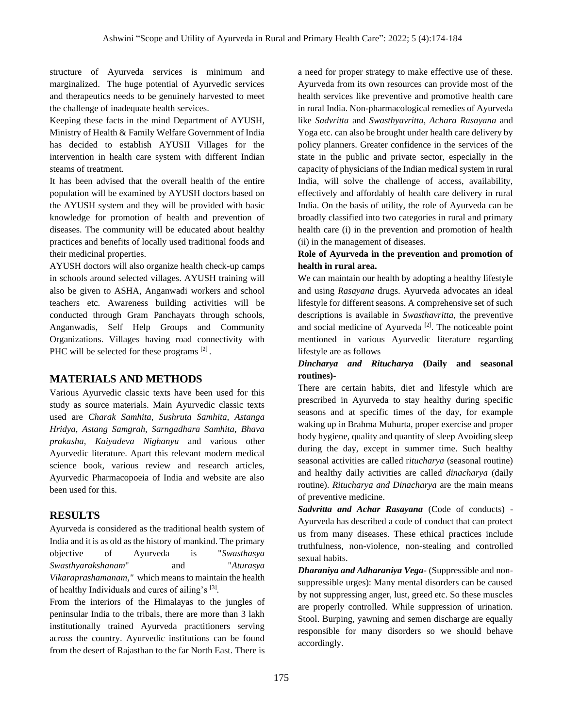structure of Ayurveda services is minimum and marginalized. The huge potential of Ayurvedic services and therapeutics needs to be genuinely harvested to meet the challenge of inadequate health services.

Keeping these facts in the mind Department of AYUSH, Ministry of Health & Family Welfare Government of India has decided to establish AYUSII Villages for the intervention in health care system with different Indian steams of treatment.

It has been advised that the overall health of the entire population will be examined by AYUSH doctors based on the AYUSH system and they will be provided with basic knowledge for promotion of health and prevention of diseases. The community will be educated about healthy practices and benefits of locally used traditional foods and their medicinal properties.

AYUSH doctors will also organize health check-up camps in schools around selected villages. AYUSH training will also be given to ASHA, Anganwadi workers and school teachers etc. Awareness building activities will be conducted through Gram Panchayats through schools, Anganwadis, Self Help Groups and Community Organizations. Villages having road connectivity with PHC will be selected for these programs [2].

#### **MATERIALS AND METHODS**

Various Ayurvedic classic texts have been used for this study as source materials. Main Ayurvedic classic texts used are *Charak Samhita, Sushruta Samhita, Astanga Hridya, Astang Samgrah, Sarngadhara Samhita, Bhava prakasha, Kaiyadeva Nighanyu* and various other Ayurvedic literature. Apart this relevant modern medical science book, various review and research articles, Ayurvedic Pharmacopoeia of India and website are also been used for this.

## **RESULTS**

Ayurveda is considered as the traditional health system of India and it is as old as the history of mankind. The primary objective of Ayurveda is "*Swasthasya Swasthyarakshanam*" and "*Aturasya Vikaraprashamanam,"* which means to maintain the health of healthy Individuals and cures of ailing's [3].

From the interiors of the Himalayas to the jungles of peninsular India to the tribals, there are more than 3 lakh institutionally trained Ayurveda practitioners serving across the country. Ayurvedic institutions can be found from the desert of Rajasthan to the far North East. There is a need for proper strategy to make effective use of these. Ayurveda from its own resources can provide most of the health services like preventive and promotive health care in rural India. Non-pharmacological remedies of Ayurveda like *Sadvritta* and *Swasthyavritta*, *Achara Rasayana* and Yoga etc. can also be brought under health care delivery by policy planners. Greater confidence in the services of the state in the public and private sector, especially in the capacity of physicians of the Indian medical system in rural India, will solve the challenge of access, availability, effectively and affordably of health care delivery in rural India. On the basis of utility, the role of Ayurveda can be broadly classified into two categories in rural and primary health care (i) in the prevention and promotion of health (ii) in the management of diseases.

#### **Role of Ayurveda in the prevention and promotion of health in rural area.**

We can maintain our health by adopting a healthy lifestyle and using *Rasayana* drugs. Ayurveda advocates an ideal lifestyle for different seasons. A comprehensive set of such descriptions is available in *Swasthavritta*, the preventive and social medicine of Ayurveda<sup>[2]</sup>. The noticeable point mentioned in various Ayurvedic literature regarding lifestyle are as follows

#### *Dincharya and Ritucharya* **(Daily and seasonal routines)-**

There are certain habits, diet and lifestyle which are prescribed in Ayurveda to stay healthy during specific seasons and at specific times of the day, for example waking up in Brahma Muhurta, proper exercise and proper body hygiene, quality and quantity of sleep Avoiding sleep during the day, except in summer time. Such healthy seasonal activities are called r*itucharya* (seasonal routine) and healthy daily activities are called *dinacharya* (daily routine). *Ritucharya and Dinacharya* are the main means of preventive medicine.

*Sadvritta and Achar Rasayana* (Code of conducts) - Ayurveda has described a code of conduct that can protect us from many diseases. These ethical practices include truthfulness, non-violence, non-stealing and controlled sexual habits.

*Dharaniya and Adharaniya Vega***-** (Suppressible and nonsuppressible urges): Many mental disorders can be caused by not suppressing anger, lust, greed etc. So these muscles are properly controlled. While suppression of urination. Stool. Burping, yawning and semen discharge are equally responsible for many disorders so we should behave accordingly.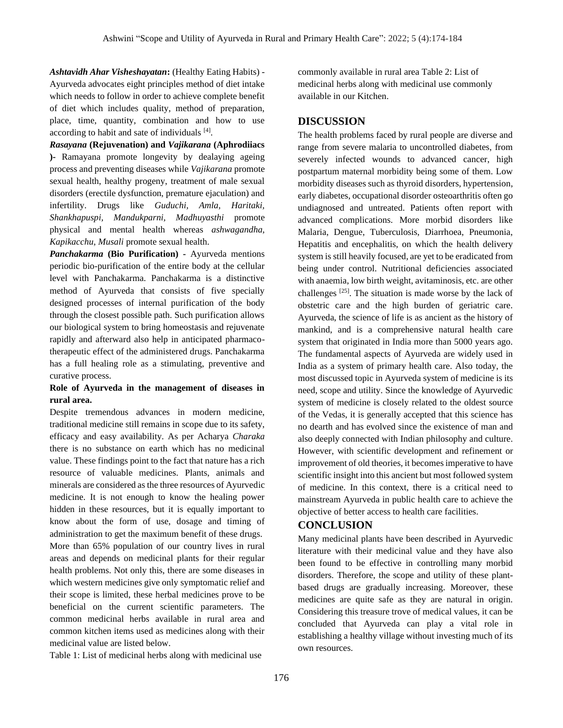*Ashtavidh Ahar Visheshayatan***:** (Healthy Eating Habits) - Ayurveda advocates eight principles method of diet intake which needs to follow in order to achieve complete benefit of diet which includes quality, method of preparation, place, time, quantity, combination and how to use according to habit and sate of individuals [4].

*Rasayana* **(Rejuvenation) and** *Vajikarana* **(Aphrodiiacs )-** Ramayana promote longevity by dealaying ageing process and preventing diseases while *Vajikarana* promote sexual health, healthy progeny, treatment of male sexual disorders (erectile dysfunction, premature ejaculation) and infertility. Drugs like *Guduchi, Amla, Haritaki, Shankhapuspi, Mandukparni, Madhuyasthi* promote physical and mental health whereas *ashwagandha, Kapikacchu, Musali* promote sexual health.

*Panchakarma* **(Bio Purification) -** Ayurveda mentions periodic bio-purification of the entire body at the cellular level with Panchakarma. Panchakarma is a distinctive method of Ayurveda that consists of five specially designed processes of internal purification of the body through the closest possible path. Such purification allows our biological system to bring homeostasis and rejuvenate rapidly and afterward also help in anticipated pharmacotherapeutic effect of the administered drugs. Panchakarma has a full healing role as a stimulating, preventive and curative process.

#### **Role of Ayurveda in the management of diseases in rural area.**

Despite tremendous advances in modern medicine, traditional medicine still remains in scope due to its safety, efficacy and easy availability. As per Acharya *Charaka* there is no substance on earth which has no medicinal value. These findings point to the fact that nature has a rich resource of valuable medicines. Plants, animals and minerals are considered as the three resources of Ayurvedic medicine. It is not enough to know the healing power hidden in these resources, but it is equally important to know about the form of use, dosage and timing of administration to get the maximum benefit of these drugs. More than 65% population of our country lives in rural areas and depends on medicinal plants for their regular health problems. Not only this, there are some diseases in which western medicines give only symptomatic relief and their scope is limited, these herbal medicines prove to be beneficial on the current scientific parameters. The common medicinal herbs available in rural area and common kitchen items used as medicines along with their medicinal value are listed below.

Table 1: List of medicinal herbs along with medicinal use

commonly available in rural area Table 2: List of medicinal herbs along with medicinal use commonly available in our Kitchen.

### **DISCUSSION**

The health problems faced by rural people are diverse and range from severe malaria to uncontrolled diabetes, from severely infected wounds to advanced cancer, high postpartum maternal morbidity being some of them. Low morbidity diseases such as thyroid disorders, hypertension, early diabetes, occupational disorder osteoarthritis often go undiagnosed and untreated. Patients often report with advanced complications. More morbid disorders like Malaria, Dengue, Tuberculosis, Diarrhoea, Pneumonia, Hepatitis and encephalitis, on which the health delivery system is still heavily focused, are yet to be eradicated from being under control. Nutritional deficiencies associated with anaemia, low birth weight, avitaminosis, etc. are other challenges  $[25]$ . The situation is made worse by the lack of obstetric care and the high burden of geriatric care. Ayurveda, the science of life is as ancient as the history of mankind, and is a comprehensive natural health care system that originated in India more than 5000 years ago. The fundamental aspects of Ayurveda are widely used in India as a system of primary health care. Also today, the most discussed topic in Ayurveda system of medicine is its need, scope and utility. Since the knowledge of Ayurvedic system of medicine is closely related to the oldest source of the Vedas, it is generally accepted that this science has no dearth and has evolved since the existence of man and also deeply connected with Indian philosophy and culture. However, with scientific development and refinement or improvement of old theories, it becomes imperative to have scientific insight into this ancient but most followed system of medicine. In this context, there is a critical need to mainstream Ayurveda in public health care to achieve the objective of better access to health care facilities.

#### **CONCLUSION**

Many medicinal plants have been described in Ayurvedic literature with their medicinal value and they have also been found to be effective in controlling many morbid disorders. Therefore, the scope and utility of these plantbased drugs are gradually increasing. Moreover, these medicines are quite safe as they are natural in origin. Considering this treasure trove of medical values, it can be concluded that Ayurveda can play a vital role in establishing a healthy village without investing much of its own resources.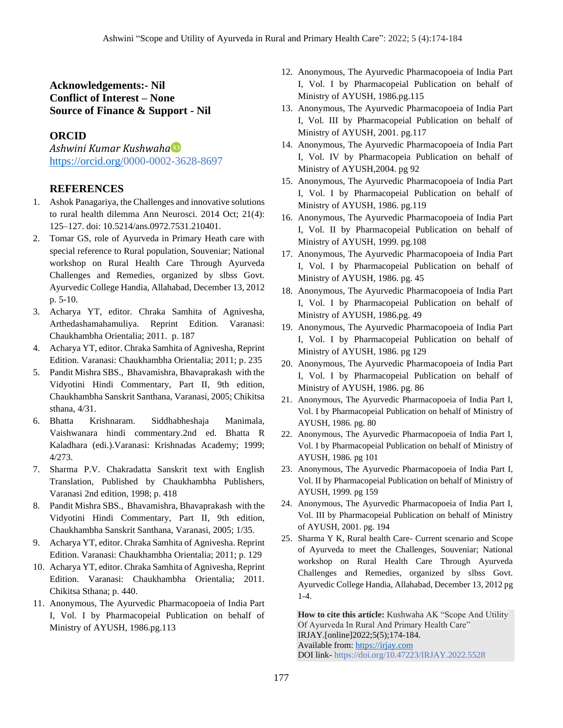## **Acknowledgements:- Nil Conflict of Interest – None Source of Finance & Support - Nil**

## **ORCID**

*Ashwini Kumar Kushwaha* [https://orcid.org/0](https://orcid.org/)000-0002-3628-8697

## **REFERENCES**

- 1. Ashok Panagariya, the Challenges and innovative solutions to rural health dilemma Ann Neurosci. 2014 Oct; 21(4): 125–127. doi: 10.5214/ans.0972.7531.210401.
- 2. Tomar GS, role of Ayurveda in Primary Heath care with special reference to Rural population, Souveniar; National workshop on Rural Health Care Through Ayurveda Challenges and Remedies, organized by slbss Govt. Ayurvedic College Handia, Allahabad, December 13, 2012 p. 5-10.
- 3. Acharya YT, editor. Chraka Samhita of Agnivesha, Arthedashamahamuliya. Reprint Edition. Varanasi: Chaukhambha Orientalia; 2011. p. 187
- 4. Acharya YT, editor. Chraka Samhita of Agnivesha, Reprint Edition. Varanasi: Chaukhambha Orientalia; 2011; p. 235
- 5. Pandit Mishra SBS., Bhavamishra, Bhavaprakash with the Vidyotini Hindi Commentary, Part II, 9th edition, Chaukhambha Sanskrit Santhana, Varanasi, 2005; Chikitsa sthana, 4/31.
- 6. Bhatta Krishnaram. Siddhabheshaja Manimala, Vaishwanara hindi commentary.2nd ed. Bhatta R Kaladhara (edi.).Varanasi: Krishnadas Academy; 1999; 4/273.
- 7. Sharma P.V. Chakradatta Sanskrit text with English Translation, Published by Chaukhambha Publishers, Varanasi 2nd edition, 1998; p. 418
- 8. Pandit Mishra SBS., Bhavamishra, Bhavaprakash with the Vidyotini Hindi Commentary, Part II, 9th edition, Chaukhambha Sanskrit Santhana, Varanasi, 2005; 1/35.
- 9. Acharya YT, editor. Chraka Samhita of Agnivesha. Reprint Edition. Varanasi: Chaukhambha Orientalia; 2011; p. 129
- 10. Acharya YT, editor. Chraka Samhita of Agnivesha, Reprint Edition. Varanasi: Chaukhambha Orientalia; 2011. Chikitsa Sthana; p. 440.
- 11. Anonymous, The Ayurvedic Pharmacopoeia of India Part I, Vol. I by Pharmacopeial Publication on behalf of Ministry of AYUSH, 1986.pg.113
- 12. Anonymous, The Ayurvedic Pharmacopoeia of India Part I, Vol. I by Pharmacopeial Publication on behalf of Ministry of AYUSH, 1986.pg.115
- 13. Anonymous, The Ayurvedic Pharmacopoeia of India Part I, Vol. III by Pharmacopeial Publication on behalf of Ministry of AYUSH, 2001. pg.117
- 14. Anonymous, The Ayurvedic Pharmacopoeia of India Part I, Vol. IV by Pharmacopeia Publication on behalf of Ministry of AYUSH,2004. pg 92
- 15. Anonymous, The Ayurvedic Pharmacopoeia of India Part I, Vol. I by Pharmacopeial Publication on behalf of Ministry of AYUSH, 1986. pg.119
- 16. Anonymous, The Ayurvedic Pharmacopoeia of India Part I, Vol. II by Pharmacopeial Publication on behalf of Ministry of AYUSH, 1999. pg.108
- 17. Anonymous, The Ayurvedic Pharmacopoeia of India Part I, Vol. I by Pharmacopeial Publication on behalf of Ministry of AYUSH, 1986. pg. 45
- 18. Anonymous, The Ayurvedic Pharmacopoeia of India Part I, Vol. I by Pharmacopeial Publication on behalf of Ministry of AYUSH, 1986.pg. 49
- 19. Anonymous, The Ayurvedic Pharmacopoeia of India Part I, Vol. I by Pharmacopeial Publication on behalf of Ministry of AYUSH, 1986. pg 129
- 20. Anonymous, The Ayurvedic Pharmacopoeia of India Part I, Vol. I by Pharmacopeial Publication on behalf of Ministry of AYUSH, 1986. pg. 86
- 21. Anonymous, The Ayurvedic Pharmacopoeia of India Part I, Vol. I by Pharmacopeial Publication on behalf of Ministry of AYUSH, 1986. pg. 80
- 22. Anonymous, The Ayurvedic Pharmacopoeia of India Part I, Vol. I by Pharmacopeial Publication on behalf of Ministry of AYUSH, 1986. pg 101
- 23. Anonymous, The Ayurvedic Pharmacopoeia of India Part I, Vol. II by Pharmacopeial Publication on behalf of Ministry of AYUSH, 1999. pg 159
- 24. Anonymous, The Ayurvedic Pharmacopoeia of India Part I, Vol. III by Pharmacopeial Publication on behalf of Ministry of AYUSH, 2001. pg. 194
- 25. Sharma Y K, Rural health Care- Current scenario and Scope of Ayurveda to meet the Challenges, Souveniar; National workshop on Rural Health Care Through Ayurveda Challenges and Remedies, organized by slbss Govt. Ayurvedic College Handia, Allahabad, December 13, 2012 pg 1-4.

**How to cite this article:** Kushwaha AK "Scope And Utility Of Ayurveda In Rural And Primary Health Care" IRJAY.[online]2022;5(5);174-184. Available from: [https://irjay.com](https://irjay.com/) DOI link- https://doi.org/10.47223/IRJAY.2022.5528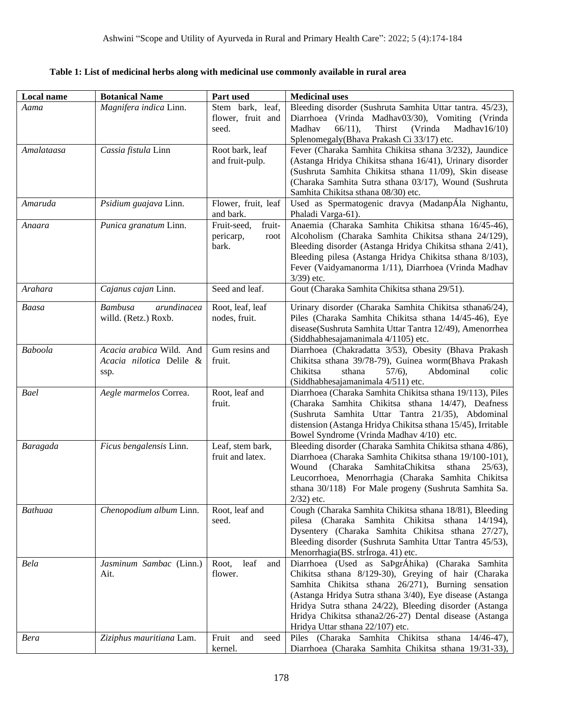| Local name  | <b>Botanical Name</b>                                        | Part used                                           | <b>Medicinal uses</b>                                                                                                                                                                                                                                                                                                                                                            |
|-------------|--------------------------------------------------------------|-----------------------------------------------------|----------------------------------------------------------------------------------------------------------------------------------------------------------------------------------------------------------------------------------------------------------------------------------------------------------------------------------------------------------------------------------|
| Aama        | Magnifera indica Linn.                                       | Stem bark, leaf,<br>flower, fruit and<br>seed.      | Bleeding disorder (Sushruta Samhita Uttar tantra. 45/23),<br>Diarrhoea (Vrinda Madhav03/30), Vomiting (Vrinda<br>Madhav<br>$66/11$ ,<br>Thirst<br>(Vrinda<br>Madhav $16/10$ )<br>Splenomegaly(Bhava Prakash Ci 33/17) etc.                                                                                                                                                       |
| Amalataasa  | Cassia fistula Linn                                          | Root bark, leaf<br>and fruit-pulp.                  | Fever (Charaka Samhita Chikitsa sthana 3/232), Jaundice<br>(Astanga Hridya Chikitsa sthana 16/41), Urinary disorder<br>(Sushruta Samhita Chikitsa sthana 11/09), Skin disease<br>(Charaka Samhita Sutra sthana 03/17), Wound (Sushruta<br>Samhita Chikitsa sthana 08/30) etc.                                                                                                    |
| Amaruda     | Psidium guajava Linn.                                        | Flower, fruit, leaf<br>and bark.                    | Used as Spermatogenic dravya (MadanpÁla Nighantu,<br>Phaladi Varga-61).                                                                                                                                                                                                                                                                                                          |
| Anaara      | Punica granatum Linn.                                        | Fruit-seed,<br>fruit-<br>pericarp,<br>root<br>bark. | Anaemia (Charaka Samhita Chikitsa sthana 16/45-46),<br>Alcoholism (Charaka Samhita Chikitsa sthana 24/129),<br>Bleeding disorder (Astanga Hridya Chikitsa sthana 2/41),<br>Bleeding pilesa (Astanga Hridya Chikitsa sthana 8/103),<br>Fever (Vaidyamanorma 1/11), Diarrhoea (Vrinda Madhav<br>$3/39$ ) etc.                                                                      |
| Arahara     | Cajanus cajan Linn.                                          | Seed and leaf.                                      | Gout (Charaka Samhita Chikitsa sthana 29/51).                                                                                                                                                                                                                                                                                                                                    |
| Baasa       | arundinacea<br><b>Bambusa</b><br>willd. (Retz.) Roxb.        | Root, leaf, leaf<br>nodes, fruit.                   | Urinary disorder (Charaka Samhita Chikitsa sthana6/24),<br>Piles (Charaka Samhita Chikitsa sthana 14/45-46), Eye<br>disease(Sushruta Samhita Uttar Tantra 12/49), Amenorrhea<br>(Siddhabhesajamanimala 4/1105) etc.                                                                                                                                                              |
| Baboola     | Acacia arabica Wild. And<br>Acacia nilotica Delile &<br>ssp. | Gum resins and<br>fruit.                            | Diarrhoea (Chakradatta 3/53), Obesity (Bhava Prakash<br>Chikitsa sthana 39/78-79), Guinea worm(Bhava Prakash<br>Chikitsa<br>sthana<br>Abdominal<br>$57/6$ ,<br>colic<br>(Siddhabhesajamanimala 4/511) etc.                                                                                                                                                                       |
| Bael        | Aegle marmelos Correa.                                       | Root, leaf and<br>fruit.                            | Diarrhoea (Charaka Samhita Chikitsa sthana 19/113), Piles<br>(Charaka Samhita Chikitsa sthana 14/47), Deafness<br>(Sushruta Samhita Uttar Tantra 21/35), Abdominal<br>distension (Astanga Hridya Chikitsa sthana 15/45), Irritable<br>Bowel Syndrome (Vrinda Madhav 4/10) etc.                                                                                                   |
| Baragada    | Ficus bengalensis Linn.                                      | Leaf, stem bark,<br>fruit and latex.                | Bleeding disorder (Charaka Samhita Chikitsa sthana 4/86),<br>Diarrhoea (Charaka Samhita Chikitsa sthana 19/100-101),<br>SamhitaChikitsa<br>Wound<br>(Charaka<br>sthana<br>$25/63$ ,<br>Leucorrhoea, Menorrhagia (Charaka Samhita Chikitsa<br>sthana 30/118) For Male progeny (Sushruta Samhita Sa.<br>$2/32$ ) etc.                                                              |
| Bathuaa     | Chenopodium album Linn.                                      | Root, leaf and<br>seed.                             | Cough (Charaka Samhita Chikitsa sthana 18/81), Bleeding<br>pilesa (Charaka Samhita Chikitsa sthana 14/194),<br>Dysentery (Charaka Samhita Chikitsa sthana 27/27),<br>Bleeding disorder (Sushruta Samhita Uttar Tantra 45/53),<br>Menorrhagia(BS. strĺroga. 41) etc.                                                                                                              |
| Bela        | Jasminum Sambac (Linn.)<br>Ait.                              | leaf<br>Root,<br>and<br>flower.                     | Diarrhoea (Used as SaÞgrÁhika) (Charaka Samhita<br>Chikitsa sthana 8/129-30), Greying of hair (Charaka<br>Samhita Chikitsa sthana 26/271), Burning sensation<br>(Astanga Hridya Sutra sthana 3/40), Eye disease (Astanga<br>Hridya Sutra sthana 24/22), Bleeding disorder (Astanga<br>Hridya Chikitsa sthana2/26-27) Dental disease (Astanga<br>Hridya Uttar sthana 22/107) etc. |
| <b>Bera</b> | Ziziphus mauritiana Lam.                                     | Fruit<br>and<br>seed<br>kernel.                     | Piles (Charaka Samhita Chikitsa sthana 14/46-47),<br>Diarrhoea (Charaka Samhita Chikitsa sthana 19/31-33),                                                                                                                                                                                                                                                                       |

**Table 1: List of medicinal herbs along with medicinal use commonly available in rural area**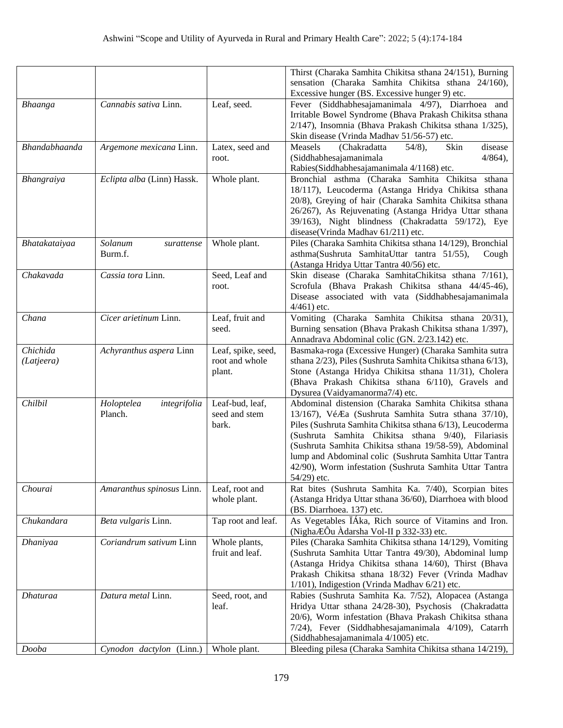|               |                            |                                      | Thirst (Charaka Samhita Chikitsa sthana 24/151), Burning                                                               |
|---------------|----------------------------|--------------------------------------|------------------------------------------------------------------------------------------------------------------------|
|               |                            |                                      | sensation (Charaka Samhita Chikitsa sthana 24/160),                                                                    |
|               |                            |                                      | Excessive hunger (BS. Excessive hunger 9) etc.                                                                         |
| Bhaanga       | Cannabis sativa Linn.      | Leaf, seed.                          | Fever (Siddhabhesajamanimala 4/97), Diarrhoea and                                                                      |
|               |                            |                                      | Irritable Bowel Syndrome (Bhava Prakash Chikitsa sthana                                                                |
|               |                            |                                      | 2/147), Insomnia (Bhava Prakash Chikitsa sthana 1/325),                                                                |
|               |                            |                                      | Skin disease (Vrinda Madhav 51/56-57) etc.                                                                             |
| Bhandabhaanda | Argemone mexicana Linn.    | Latex, seed and                      | Measels<br>(Chakradatta<br>Skin<br>disease<br>$54/8$ ,                                                                 |
|               |                            | root.                                | (Siddhabhesajamanimala<br>$4/864$ ,                                                                                    |
|               |                            |                                      | Rabies(Siddhabhesajamanimala 4/1168) etc.                                                                              |
| Bhangraiya    | Eclipta alba (Linn) Hassk. | Whole plant.                         | Bronchial asthma (Charaka Samhita Chikitsa sthana                                                                      |
|               |                            |                                      | 18/117), Leucoderma (Astanga Hridya Chikitsa sthana                                                                    |
|               |                            |                                      | 20/8), Greying of hair (Charaka Samhita Chikitsa sthana<br>26/267), As Rejuvenating (Astanga Hridya Uttar sthana       |
|               |                            |                                      | 39/163), Night blindness (Chakradatta 59/172), Eye                                                                     |
|               |                            |                                      | disease(Vrinda Madhav 61/211) etc.                                                                                     |
| Bhatakataiyaa | Solanum<br>surattense      | Whole plant.                         | Piles (Charaka Samhita Chikitsa sthana 14/129), Bronchial                                                              |
|               | Burm.f.                    |                                      | asthma(Sushruta SamhitaUttar tantra 51/55),<br>Cough                                                                   |
|               |                            |                                      | (Astanga Hridya Uttar Tantra 40/56) etc.                                                                               |
| Chakavada     | Cassia tora Linn.          | Seed, Leaf and                       | Skin disease (Charaka SamhitaChikitsa sthana 7/161),                                                                   |
|               |                            | root.                                | Scrofula (Bhava Prakash Chikitsa sthana 44/45-46),                                                                     |
|               |                            |                                      | Disease associated with vata (Siddhabhesajamanimala                                                                    |
|               |                            |                                      | $4/461$ ) etc.                                                                                                         |
| Chana         | Cicer arietinum Linn.      | Leaf, fruit and                      | Vomiting (Charaka Samhita Chikitsa sthana 20/31),                                                                      |
|               |                            | seed.                                | Burning sensation (Bhava Prakash Chikitsa sthana 1/397),                                                               |
| Chichida      |                            |                                      | Annadrava Abdominal colic (GN. 2/23.142) etc.                                                                          |
| (Latjeera)    | Achyranthus aspera Linn    | Leaf, spike, seed,<br>root and whole | Basmaka-roga (Excessive Hunger) (Charaka Samhita sutra<br>sthana 2/23), Piles (Sushruta Samhita Chikitsa sthana 6/13), |
|               |                            | plant.                               | Stone (Astanga Hridya Chikitsa sthana 11/31), Cholera                                                                  |
|               |                            |                                      | (Bhava Prakash Chikitsa sthana 6/110), Gravels and                                                                     |
|               |                            |                                      | Dysurea (Vaidyamanorma7/4) etc.                                                                                        |
| Chilbil       | Holoptelea<br>integrifolia | Leaf-bud, leaf,                      | Abdominal distension (Charaka Samhita Chikitsa sthana                                                                  |
|               | Planch.                    | seed and stem                        | 13/167), VéÆa (Sushruta Samhita Sutra sthana 37/10),                                                                   |
|               |                            | bark.                                | Piles (Sushruta Samhita Chikitsa sthana 6/13), Leucoderma                                                              |
|               |                            |                                      | (Sushruta Samhita Chikitsa sthana 9/40), Filariasis                                                                    |
|               |                            |                                      | (Sushruta Samhita Chikitsa sthana 19/58-59), Abdominal                                                                 |
|               |                            |                                      | lump and Abdominal colic (Sushruta Samhita Uttar Tantra                                                                |
|               |                            |                                      | 42/90), Worm infestation (Sushruta Samhita Uttar Tantra                                                                |
|               |                            |                                      | 54/29) etc.                                                                                                            |
| Chourai       | Amaranthus spinosus Linn.  | Leaf, root and                       | Rat bites (Sushruta Samhita Ka. 7/40), Scorpian bites<br>(Astanga Hridya Uttar sthana 36/60), Diarrhoea with blood     |
|               |                            | whole plant.                         | (BS. Diarrhoea. 137) etc.                                                                                              |
| Chukandara    | Beta vulgaris Linn.        | Tap root and leaf.                   | As Vegetables IAka, Rich source of Vitamins and Iron.                                                                  |
|               |                            |                                      | (NighaÆÔu Àdarsha Vol-II p 332-33) etc.                                                                                |
| Dhaniyaa      | Coriandrum sativum Linn    | Whole plants,                        | Piles (Charaka Samhita Chikitsa sthana 14/129), Vomiting                                                               |
|               |                            | fruit and leaf.                      | (Sushruta Samhita Uttar Tantra 49/30), Abdominal lump                                                                  |
|               |                            |                                      | (Astanga Hridya Chikitsa sthana 14/60), Thirst (Bhava                                                                  |
|               |                            |                                      | Prakash Chikitsa sthana 18/32) Fever (Vrinda Madhav                                                                    |
|               |                            |                                      | 1/101), Indigestion (Vrinda Madhav 6/21) etc.                                                                          |
| Dhaturaa      | Datura metal Linn.         | Seed, root, and                      | Rabies (Sushruta Samhita Ka. 7/52), Alopacea (Astanga                                                                  |
|               |                            | leaf.                                | Hridya Uttar sthana 24/28-30), Psychosis (Chakradatta                                                                  |
|               |                            |                                      | 20/6), Worm infestation (Bhava Prakash Chikitsa sthana                                                                 |
|               |                            |                                      | 7/24), Fever (Siddhabhesajamanimala 4/109), Catarrh                                                                    |
|               |                            |                                      | (Siddhabhesajamanimala 4/1005) etc.<br>Bleeding pilesa (Charaka Samhita Chikitsa sthana 14/219),                       |
| Dooba         | Cynodon dactylon (Linn.)   | Whole plant.                         |                                                                                                                        |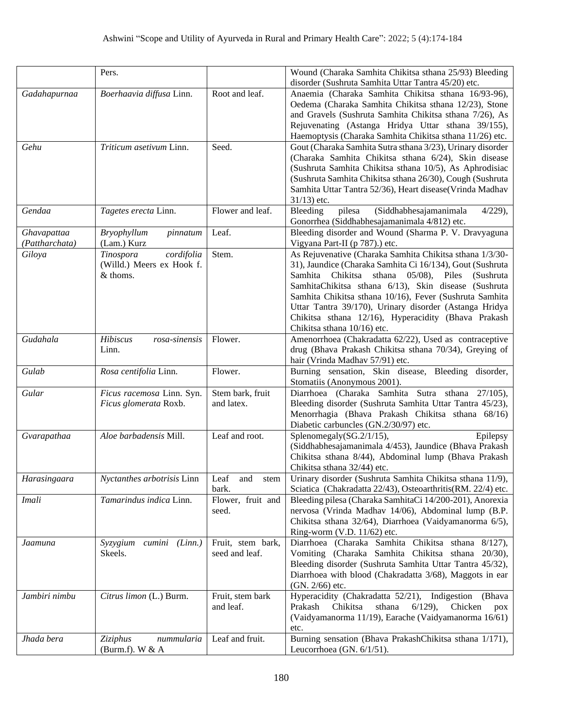|                               | Pers.                                                              |                                     | Wound (Charaka Samhita Chikitsa sthana 25/93) Bleeding<br>disorder (Sushruta Samhita Uttar Tantra 45/20) etc.                                                                                                                                                                                                                                                                                                                                              |
|-------------------------------|--------------------------------------------------------------------|-------------------------------------|------------------------------------------------------------------------------------------------------------------------------------------------------------------------------------------------------------------------------------------------------------------------------------------------------------------------------------------------------------------------------------------------------------------------------------------------------------|
| Gadahapurnaa                  | Boerhaavia diffusa Linn.                                           | Root and leaf.                      | Anaemia (Charaka Samhita Chikitsa sthana 16/93-96),<br>Oedema (Charaka Samhita Chikitsa sthana 12/23), Stone<br>and Gravels (Sushruta Samhita Chikitsa sthana 7/26), As<br>Rejuvenating (Astanga Hridya Uttar sthana 39/155),<br>Haemoptysis (Charaka Samhita Chikitsa sthana 11/26) etc.                                                                                                                                                                  |
| Gehu                          | Triticum asetivum Linn.                                            | Seed.                               | Gout (Charaka Samhita Sutra sthana 3/23), Urinary disorder<br>(Charaka Samhita Chikitsa sthana 6/24), Skin disease<br>(Sushruta Samhita Chikitsa sthana 10/5), As Aphrodisiac<br>(Sushruta Samhita Chikitsa sthana 26/30), Cough (Sushruta<br>Samhita Uttar Tantra 52/36), Heart disease(Vrinda Madhav<br>$31/13$ ) etc.                                                                                                                                   |
| Gendaa                        | Tagetes erecta Linn.                                               | Flower and leaf.                    | Bleeding<br>pilesa<br>(Siddhabhesajamanimala<br>$4/229$ ,<br>Gonorrhea (Siddhabhesajamanimala 4/812) etc.                                                                                                                                                                                                                                                                                                                                                  |
| Ghavapattaa<br>(Pattharchata) | <b>Bryophyllum</b><br>pinnatum<br>(Lam.) Kurz                      | Leaf.                               | Bleeding disorder and Wound (Sharma P. V. Dravyaguna<br>Vigyana Part-II (p 787).) etc.                                                                                                                                                                                                                                                                                                                                                                     |
| Giloya                        | cordifolia<br>Tinospora<br>(Willd.) Meers ex Hook f.<br>$&$ thoms. | Stem.                               | As Rejuvenative (Charaka Samhita Chikitsa sthana 1/3/30-<br>31), Jaundice (Charaka Samhita Ci 16/134), Gout (Sushruta<br>Samhita Chikitsa<br>sthana<br>$05/08$ ,<br>Piles<br>(Sushruta)<br>SamhitaChikitsa sthana 6/13), Skin disease (Sushruta<br>Samhita Chikitsa sthana 10/16), Fever (Sushruta Samhita<br>Uttar Tantra 39/170), Urinary disorder (Astanga Hridya<br>Chikitsa sthana 12/16), Hyperacidity (Bhava Prakash<br>Chikitsa sthana 10/16) etc. |
| Gudahala                      | Hibiscus<br>rosa-sinensis<br>Linn.                                 | Flower.                             | Amenorrhoea (Chakradatta 62/22), Used as contraceptive<br>drug (Bhava Prakash Chikitsa sthana 70/34), Greying of<br>hair (Vrinda Madhav 57/91) etc.                                                                                                                                                                                                                                                                                                        |
| Gulab                         | Rosa centifolia Linn.                                              | Flower.                             | Burning sensation, Skin disease, Bleeding disorder,<br>Stomatiis (Anonymous 2001).                                                                                                                                                                                                                                                                                                                                                                         |
| Gular                         | Ficus racemosa Linn. Syn.<br>Ficus glomerata Roxb.                 | Stem bark, fruit<br>and latex.      | Diarrhoea (Charaka Samhita Sutra sthana 27/105),<br>Bleeding disorder (Sushruta Samhita Uttar Tantra 45/23),<br>Menorrhagia (Bhava Prakash Chikitsa sthana 68/16)<br>Diabetic carbuncles (GN.2/30/97) etc.                                                                                                                                                                                                                                                 |
| Gvarapathaa                   | Aloe barbadensis Mill.                                             | Leaf and root.                      | Splenomegaly(SG.2/1/15),<br>Epilepsy<br>(Siddhabhesajamanimala 4/453), Jaundice (Bhava Prakash<br>Chikitsa sthana 8/44), Abdominal lump (Bhava Prakash<br>Chikitsa sthana 32/44) etc.                                                                                                                                                                                                                                                                      |
| Harasingaara                  | Nyctanthes arbotrisis Linn                                         | Leaf<br>and<br>stem<br>bark.        | Urinary disorder (Sushruta Samhita Chikitsa sthana 11/9),<br>Sciatica (Chakradatta 22/43), Osteoarthritis(RM. 22/4) etc.                                                                                                                                                                                                                                                                                                                                   |
| Imali                         | Tamarindus indica Linn.                                            | Flower, fruit and<br>seed.          | Bleeding pilesa (Charaka SamhitaCi 14/200-201), Anorexia<br>nervosa (Vrinda Madhav 14/06), Abdominal lump (B.P.<br>Chikitsa sthana 32/64), Diarrhoea (Vaidyamanorma 6/5),<br>Ring-worm (V.D. 11/62) etc.                                                                                                                                                                                                                                                   |
| Jaamuna                       | Syzygium cumini (Linn.)<br>Skeels.                                 | Fruit, stem bark,<br>seed and leaf. | Diarrhoea (Charaka Samhita Chikitsa sthana 8/127),<br>Vomiting (Charaka Samhita Chikitsa sthana 20/30),<br>Bleeding disorder (Sushruta Samhita Uttar Tantra 45/32),<br>Diarrhoea with blood (Chakradatta 3/68), Maggots in ear<br>(GN. 2/66) etc.                                                                                                                                                                                                          |
| Jambiri nimbu                 | Citrus limon (L.) Burm.                                            | Fruit, stem bark<br>and leaf.       | Hyperacidity (Chakradatta 52/21), Indigestion (Bhava<br>Chikitsa<br>sthana<br>$6/129$ ,<br>Chicken<br>Prakash<br>pox<br>(Vaidyamanorma 11/19), Earache (Vaidyamanorma 16/61)<br>etc.                                                                                                                                                                                                                                                                       |
| Jhada bera                    | Ziziphus<br>nummularia<br>(Burm.f). W $&A$                         | Leaf and fruit.                     | Burning sensation (Bhava PrakashChikitsa sthana 1/171),<br>Leucorrhoea (GN. 6/1/51).                                                                                                                                                                                                                                                                                                                                                                       |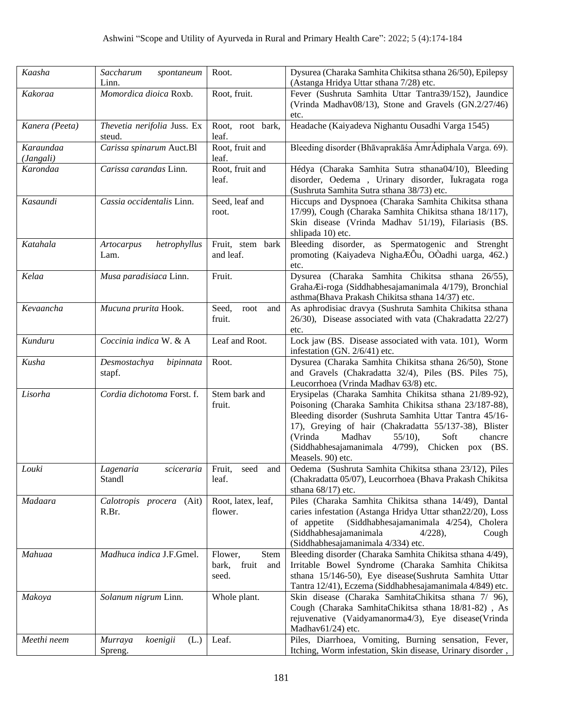| Kaasha                 | Saccharum<br>spontaneum<br>Linn.       | Root.                                             | Dysurea (Charaka Samhita Chikitsa sthana 26/50), Epilepsy<br>(Astanga Hridya Uttar sthana 7/28) etc.                                                                                                                                                                                                                                                              |
|------------------------|----------------------------------------|---------------------------------------------------|-------------------------------------------------------------------------------------------------------------------------------------------------------------------------------------------------------------------------------------------------------------------------------------------------------------------------------------------------------------------|
| Kakoraa                | Momordica dioica Roxb.                 | Root, fruit.                                      | Fever (Sushruta Samhita Uttar Tantra39/152), Jaundice<br>(Vrinda Madhav08/13), Stone and Gravels (GN.2/27/46)<br>etc.                                                                                                                                                                                                                                             |
| Kanera (Peeta)         | Thevetia nerifolia Juss. Ex<br>steud.  | Root, root bark,<br>leaf.                         | Headache (Kaiyadeva Nighantu Ousadhi Varga 1545)                                                                                                                                                                                                                                                                                                                  |
| Karaundaa<br>(Jangali) | Carissa spinarum Auct.Bl               | Root, fruit and<br>leaf.                          | Bleeding disorder (Bhāvaprakāśa AmrÁdiphala Varga. 69).                                                                                                                                                                                                                                                                                                           |
| Karondaa               | Carissa carandas Linn.                 | Root, fruit and<br>leaf.                          | Hédya (Charaka Samhita Sutra sthana04/10), Bleeding<br>disorder, Oedema, Urinary disorder, lukragata roga<br>(Sushruta Samhita Sutra sthana 38/73) etc.                                                                                                                                                                                                           |
| Kasaundi               | Cassia occidentalis Linn.              | Seed, leaf and<br>root.                           | Hiccups and Dyspnoea (Charaka Samhita Chikitsa sthana<br>17/99), Cough (Charaka Samhita Chikitsa sthana 18/117),<br>Skin disease (Vrinda Madhav 51/19), Filariasis (BS.<br>shlipada 10) etc.                                                                                                                                                                      |
| Katahala               | hetrophyllus<br>Artocarpus<br>Lam.     | Fruit, stem bark<br>and leaf.                     | Bleeding disorder, as Spermatogenic and Strenght<br>promoting (Kaiyadeva NighaÆÔu, OÒadhi uarga, 462.)<br>etc.                                                                                                                                                                                                                                                    |
| Kelaa                  | Musa paradisiaca Linn.                 | Fruit.                                            | Dysurea (Charaka Samhita Chikitsa sthana 26/55),<br>GrahaÆi-roga (Siddhabhesajamanimala 4/179), Bronchial<br>asthma(Bhava Prakash Chikitsa sthana 14/37) etc.                                                                                                                                                                                                     |
| Kevaancha              | Mucuna prurita Hook.                   | Seed,<br>root<br>and<br>fruit.                    | As aphrodisiac dravya (Sushruta Samhita Chikitsa sthana<br>26/30), Disease associated with vata (Chakradatta 22/27)<br>etc.                                                                                                                                                                                                                                       |
| Kunduru                | Coccinia indica W. & A                 | Leaf and Root.                                    | Lock jaw (BS. Disease associated with vata. 101), Worm<br>infestation (GN. 2/6/41) etc.                                                                                                                                                                                                                                                                           |
| Kusha                  | Desmostachya<br>bipinnata<br>stapf.    | Root.                                             | Dysurea (Charaka Samhita Chikitsa sthana 26/50), Stone<br>and Gravels (Chakradatta 32/4), Piles (BS. Piles 75),<br>Leucorrhoea (Vrinda Madhav 63/8) etc.                                                                                                                                                                                                          |
| Lisorha                | Cordia dichotoma Forst. f.             | Stem bark and<br>fruit.                           | Erysipelas (Charaka Samhita Chikitsa sthana 21/89-92),<br>Poisoning (Charaka Samhita Chikitsa sthana 23/187-88),<br>Bleeding disorder (Sushruta Samhita Uttar Tantra 45/16-<br>17), Greying of hair (Chakradatta 55/137-38), Blister<br>(Vrinda<br>Madhav<br>$55/10$ ,<br>Soft<br>chancre<br>(Siddhabhesajamanimala 4/799), Chicken pox (BS.<br>Measels. 90) etc. |
| Louki                  | sciceraria<br>Lagenaria<br>Standl      | Fruit,<br>seed<br>and<br>leaf.                    | Oedema (Sushruta Samhita Chikitsa sthana 23/12), Piles<br>(Chakradatta 05/07), Leucorrhoea (Bhava Prakash Chikitsa<br>sthana $68/17$ ) etc.                                                                                                                                                                                                                       |
| Madaara                | Calotropis procera (Ait)<br>R.Br.      | Root, latex, leaf,<br>flower.                     | Piles (Charaka Samhita Chikitsa sthana 14/49), Dantal<br>caries infestation (Astanga Hridya Uttar sthan22/20), Loss<br>of appetite<br>(Siddhabhesajamanimala 4/254), Cholera<br>(Siddhabhesajamanimala<br>$4/228$ ,<br>Cough<br>(Siddhabhesajamanimala 4/334) etc.                                                                                                |
| Mahuaa                 | Madhuca indica J.F.Gmel.               | Stem<br>Flower,<br>fruit<br>bark,<br>and<br>seed. | Bleeding disorder (Charaka Samhita Chikitsa sthana 4/49),<br>Irritable Bowel Syndrome (Charaka Samhita Chikitsa<br>sthana 15/146-50), Eye disease(Sushruta Samhita Uttar<br>Tantra 12/41), Eczema (Siddhabhesajamanimala 4/849) etc.                                                                                                                              |
| Makoya                 | Solanum nigrum Linn.                   | Whole plant.                                      | Skin disease (Charaka SamhitaChikitsa sthana 7/ 96),<br>Cough (Charaka SamhitaChikitsa sthana 18/81-82), As<br>rejuvenative (Vaidyamanorma4/3), Eye disease(Vrinda<br>Madhav61/24) etc.                                                                                                                                                                           |
| Meethi neem            | koenigii<br>Murraya<br>(L.)<br>Spreng. | Leaf.                                             | Piles, Diarrhoea, Vomiting, Burning sensation, Fever,<br>Itching, Worm infestation, Skin disease, Urinary disorder,                                                                                                                                                                                                                                               |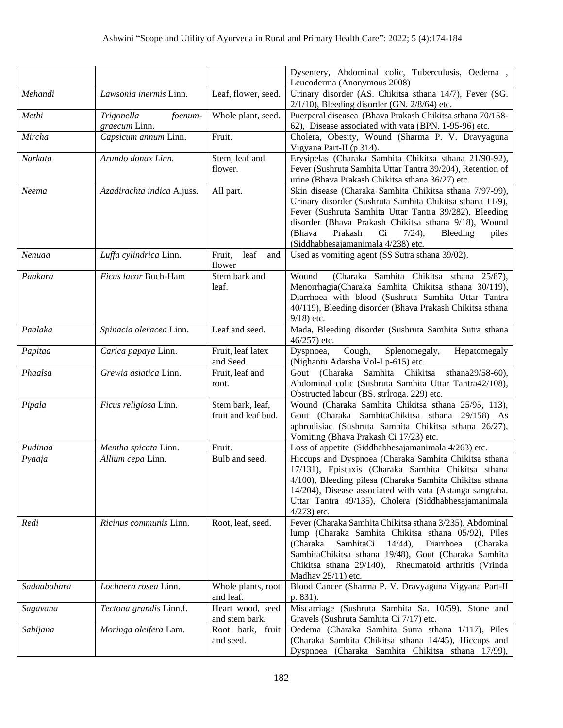|             |                                        |                                         | Dysentery, Abdominal colic, Tuberculosis, Oedema,<br>Leucoderma (Anonymous 2008)                                                                                                                                                                                                                                                         |
|-------------|----------------------------------------|-----------------------------------------|------------------------------------------------------------------------------------------------------------------------------------------------------------------------------------------------------------------------------------------------------------------------------------------------------------------------------------------|
| Mehandi     | Lawsonia inermis Linn.                 | Leaf, flower, seed.                     | Urinary disorder (AS. Chikitsa sthana 14/7), Fever (SG.<br>$2/1/10$ ), Bleeding disorder (GN. $2/8/64$ ) etc.                                                                                                                                                                                                                            |
| Methi       | Trigonella<br>foenum-<br>graecum Linn. | Whole plant, seed.                      | Puerperal diseasea (Bhava Prakash Chikitsa sthana 70/158-<br>62), Disease associated with vata (BPN. 1-95-96) etc.                                                                                                                                                                                                                       |
| Mircha      | Capsicum annum Linn.                   | Fruit.                                  | Cholera, Obesity, Wound (Sharma P. V. Dravyaguna<br>Vigyana Part-II (p 314).                                                                                                                                                                                                                                                             |
| Narkata     | Arundo donax Linn.                     | Stem, leaf and<br>flower.               | Erysipelas (Charaka Samhita Chikitsa sthana 21/90-92),<br>Fever (Sushruta Samhita Uttar Tantra 39/204), Retention of<br>urine (Bhava Prakash Chikitsa sthana 36/27) etc.                                                                                                                                                                 |
| Neema       | Azadirachta indica A.juss.             | All part.                               | Skin disease (Charaka Samhita Chikitsa sthana 7/97-99),<br>Urinary disorder (Sushruta Samhita Chikitsa sthana 11/9),<br>Fever (Sushruta Samhita Uttar Tantra 39/282), Bleeding<br>disorder (Bhava Prakash Chikitsa sthana 9/18), Wound<br>(Bhava<br>Prakash<br>Ci<br>$7/24$ ,<br>Bleeding<br>piles<br>(Siddhabhesajamanimala 4/238) etc. |
| Nenuaa      | Luffa cylindrica Linn.                 | leaf<br>Fruit,<br>and<br>flower         | Used as vomiting agent (SS Sutra sthana 39/02).                                                                                                                                                                                                                                                                                          |
| Paakara     | Ficus lacor Buch-Ham                   | Stem bark and<br>leaf.                  | (Charaka Samhita Chikitsa sthana 25/87),<br>Wound<br>Menorrhagia(Charaka Samhita Chikitsa sthana 30/119),<br>Diarrhoea with blood (Sushruta Samhita Uttar Tantra<br>40/119), Bleeding disorder (Bhava Prakash Chikitsa sthana<br>$9/18$ ) etc.                                                                                           |
| Paalaka     | Spinacia oleracea Linn.                | Leaf and seed.                          | Mada, Bleeding disorder (Sushruta Samhita Sutra sthana<br>46/257) etc.                                                                                                                                                                                                                                                                   |
| Papitaa     | Carica papaya Linn.                    | Fruit, leaf latex<br>and Seed.          | Cough,<br>Splenomegaly,<br>Hepatomegaly<br>Dyspnoea,<br>(Nighantu Adarsha Vol-I p-615) etc.                                                                                                                                                                                                                                              |
| Phaalsa     | Grewia asiatica Linn.                  | Fruit, leaf and<br>root.                | Gout (Charaka Samhita Chikitsa<br>sthana29/58-60),<br>Abdominal colic (Sushruta Samhita Uttar Tantra42/108),<br>Obstructed labour (BS. strĺroga. 229) etc.                                                                                                                                                                               |
| Pipala      | Ficus religiosa Linn.                  | Stem bark, leaf,<br>fruit and leaf bud. | Wound (Charaka Samhita Chikitsa sthana 25/95, 113),<br>Gout (Charaka SamhitaChikitsa sthana 29/158) As<br>aphrodisiac (Sushruta Samhita Chikitsa sthana 26/27),<br>Vomiting (Bhava Prakash Ci 17/23) etc.                                                                                                                                |
| Pudinaa     | Mentha spicata Linn.                   | Fruit.                                  | Loss of appetite (Siddhabhesajamanimala 4/263) etc.                                                                                                                                                                                                                                                                                      |
| Pyaaja      | Allium cepa Linn.                      | Bulb and seed.                          | Hiccups and Dyspnoea (Charaka Samhita Chikitsa sthana<br>17/131), Epistaxis (Charaka Samhita Chikitsa sthana<br>4/100), Bleeding pilesa (Charaka Samhita Chikitsa sthana<br>14/204), Disease associated with vata (Astanga sangraha.<br>Uttar Tantra 49/135), Cholera (Siddhabhesajamanimala<br>$4/273$ ) etc.                           |
| Redi        | Ricinus communis Linn.                 | Root, leaf, seed.                       | Fever (Charaka Samhita Chikitsa sthana 3/235), Abdominal<br>lump (Charaka Samhita Chikitsa sthana 05/92), Piles<br>(Charaka<br>SamhitaCi<br>$14/44$ ,<br>Diarrhoea<br>(Charaka)<br>SamhitaChikitsa sthana 19/48), Gout (Charaka Samhita<br>Chikitsa sthana 29/140), Rheumatoid arthritis (Vrinda<br>Madhav $25/11$ ) etc.                |
| Sadaabahara | Lochnera rosea Linn.                   | Whole plants, root<br>and leaf.         | Blood Cancer (Sharma P. V. Dravyaguna Vigyana Part-II<br>p. 831).                                                                                                                                                                                                                                                                        |
| Sagavana    | Tectona grandis Linn.f.                | Heart wood, seed<br>and stem bark.      | Miscarriage (Sushruta Samhita Sa. 10/59), Stone and<br>Gravels (Sushruta Samhita Ci 7/17) etc.                                                                                                                                                                                                                                           |
| Sahijana    | Moringa oleifera Lam.                  | Root bark, fruit<br>and seed.           | Oedema (Charaka Samhita Sutra sthana 1/117), Piles<br>(Charaka Samhita Chikitsa sthana 14/45), Hiccups and<br>Dyspnoea (Charaka Samhita Chikitsa sthana 17/99),                                                                                                                                                                          |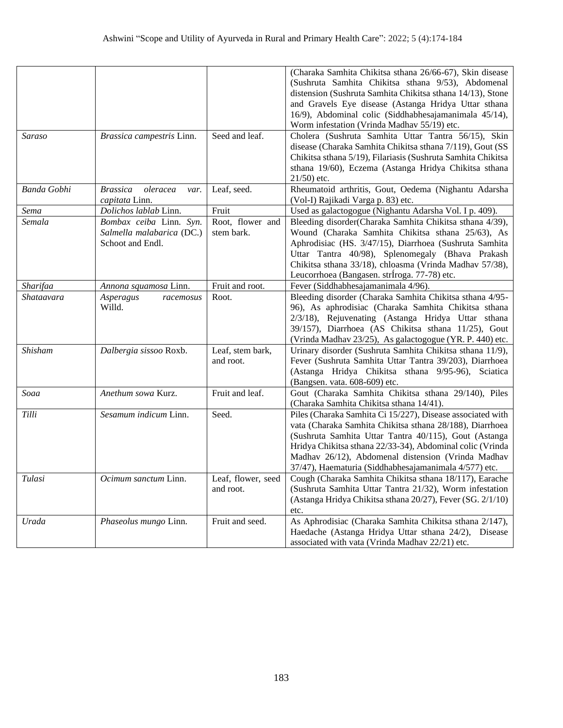|                    |                                                                          |                                 | (Charaka Samhita Chikitsa sthana 26/66-67), Skin disease<br>(Sushruta Samhita Chikitsa sthana 9/53), Abdomenal<br>distension (Sushruta Samhita Chikitsa sthana 14/13), Stone<br>and Gravels Eye disease (Astanga Hridya Uttar sthana<br>16/9), Abdominal colic (Siddhabhesajamanimala 45/14),<br>Worm infestation (Vrinda Madhav 55/19) etc.                |
|--------------------|--------------------------------------------------------------------------|---------------------------------|-------------------------------------------------------------------------------------------------------------------------------------------------------------------------------------------------------------------------------------------------------------------------------------------------------------------------------------------------------------|
| <b>Saraso</b>      | Brassica campestris Linn.                                                | Seed and leaf.                  | Cholera (Sushruta Samhita Uttar Tantra 56/15), Skin<br>disease (Charaka Samhita Chikitsa sthana 7/119), Gout (SS<br>Chikitsa sthana 5/19), Filariasis (Sushruta Samhita Chikitsa<br>sthana 19/60), Eczema (Astanga Hridya Chikitsa sthana<br>$21/50$ ) etc.                                                                                                 |
| <b>Banda Gobhi</b> | <b>Brassica</b><br>oleracea<br>var.<br>capitata Linn.                    | Leaf, seed.                     | Rheumatoid arthritis, Gout, Oedema (Nighantu Adarsha<br>(Vol-I) Rajikadi Varga p. 83) etc.                                                                                                                                                                                                                                                                  |
| Sema               | Dolichos lablab Linn.                                                    | Fruit                           | Used as galactogogue (Nighantu Adarsha Vol. I p. 409).                                                                                                                                                                                                                                                                                                      |
| Semala             | Bombax ceiba Linn. Syn.<br>Salmella malabarica (DC.)<br>Schoot and Endl. | Root, flower and<br>stem bark.  | Bleeding disorder(Charaka Samhita Chikitsa sthana 4/39),<br>Wound (Charaka Samhita Chikitsa sthana 25/63), As<br>Aphrodisiac (HS. 3/47/15), Diarrhoea (Sushruta Samhita<br>Uttar Tantra 40/98), Splenomegaly (Bhava Prakash<br>Chikitsa sthana 33/18), chloasma (Vrinda Madhav 57/38),<br>Leucorrhoea (Bangasen. strÍroga. 77-78) etc.                      |
| Sharifaa           | Annona squamosa Linn.                                                    | Fruit and root.                 | Fever (Siddhabhesajamanimala 4/96).                                                                                                                                                                                                                                                                                                                         |
| Shataavara         | Asperagus<br>racemosus<br>Willd.                                         | Root.                           | Bleeding disorder (Charaka Samhita Chikitsa sthana 4/95-<br>96), As aphrodisiac (Charaka Samhita Chikitsa sthana<br>2/3/18), Rejuvenating (Astanga Hridya Uttar sthana<br>39/157), Diarrhoea (AS Chikitsa sthana 11/25), Gout<br>(Vrinda Madhav 23/25), As galactogogue (YR. P. 440) etc.                                                                   |
| Shisham            | Dalbergia sissoo Roxb.                                                   | Leaf, stem bark,<br>and root.   | Urinary disorder (Sushruta Samhita Chikitsa sthana 11/9),<br>Fever (Sushruta Samhita Uttar Tantra 39/203), Diarrhoea<br>(Astanga Hridya Chikitsa sthana 9/95-96), Sciatica<br>(Bangsen. vata. 608-609) etc.                                                                                                                                                 |
| Soaa               | Anethum sowa Kurz.                                                       | Fruit and leaf.                 | Gout (Charaka Samhita Chikitsa sthana 29/140), Piles<br>(Charaka Samhita Chikitsa sthana 14/41).                                                                                                                                                                                                                                                            |
| Tilli              | Sesamum indicum Linn.                                                    | Seed.                           | Piles (Charaka Samhita Ci 15/227), Disease associated with<br>vata (Charaka Samhita Chikitsa sthana 28/188), Diarrhoea<br>(Sushruta Samhita Uttar Tantra 40/115), Gout (Astanga<br>Hridya Chikitsa sthana 22/33-34), Abdominal colic (Vrinda<br>Madhav 26/12), Abdomenal distension (Vrinda Madhav<br>37/47), Haematuria (Siddhabhesajamanimala 4/577) etc. |
| Tulasi             | <i>Ocimum sanctum Linn.</i>                                              | Leaf, flower, seed<br>and root. | Cough (Charaka Samhita Chikitsa sthana 18/117), Earache<br>(Sushruta Samhita Uttar Tantra 21/32), Worm infestation<br>(Astanga Hridya Chikitsa sthana 20/27), Fever (SG. 2/1/10)<br>etc.                                                                                                                                                                    |
| Urada              | Phaseolus mungo Linn.                                                    | Fruit and seed.                 | As Aphrodisiac (Charaka Samhita Chikitsa sthana 2/147),<br>Haedache (Astanga Hridya Uttar sthana 24/2), Disease<br>associated with vata (Vrinda Madhav 22/21) etc.                                                                                                                                                                                          |